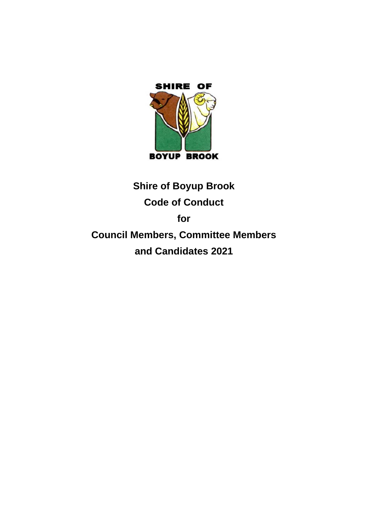

# **Shire of Boyup Brook Code of Conduct for Council Members, Committee Members and Candidates 2021**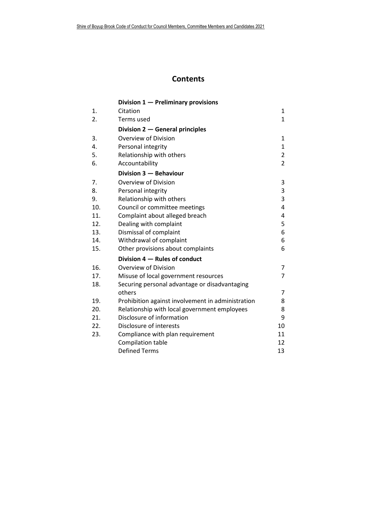## **Contents**

|     | Division 1 - Preliminary provisions               |                |
|-----|---------------------------------------------------|----------------|
| 1.  | Citation                                          | 1              |
| 2.  | Terms used                                        | 1              |
|     | Division 2 – General principles                   |                |
| 3.  | Overview of Division                              | 1              |
| 4.  | Personal integrity                                | $\mathbf{1}$   |
| 5.  | Relationship with others                          | $\overline{2}$ |
| 6.  | Accountability                                    | $\overline{2}$ |
|     | Division 3 - Behaviour                            |                |
| 7.  | Overview of Division                              | 3              |
| 8.  | Personal integrity                                | 3              |
| 9.  | Relationship with others                          | 3              |
| 10. | Council or committee meetings                     | 4              |
| 11. | Complaint about alleged breach                    | 4              |
| 12. | Dealing with complaint                            | 5              |
| 13. | Dismissal of complaint                            | 6              |
| 14. | Withdrawal of complaint                           | 6              |
| 15. | Other provisions about complaints                 | 6              |
|     | Division 4 – Rules of conduct                     |                |
| 16. | Overview of Division                              | 7              |
| 17. | Misuse of local government resources              | 7              |
| 18. | Securing personal advantage or disadvantaging     |                |
|     | others                                            | 7              |
| 19. | Prohibition against involvement in administration | 8              |
| 20. | Relationship with local government employees      | 8              |
| 21. | Disclosure of information                         | 9              |
| 22. | Disclosure of interests                           | 10             |
| 23. | Compliance with plan requirement                  | 11             |
|     | Compilation table                                 | 12             |
|     | <b>Defined Terms</b>                              | 13             |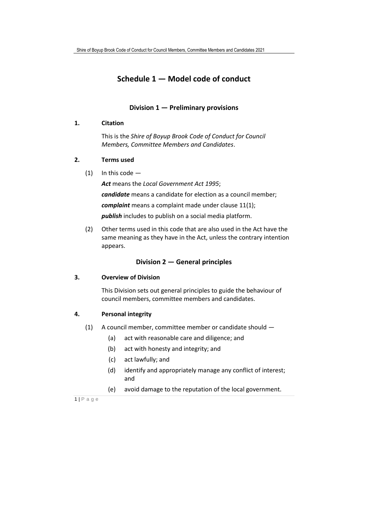## **Schedule 1 — Model code of conduct**

#### **Division 1 — Preliminary provisions**

#### **1. Citation**

This is the *Shire of Boyup Brook Code of Conduct for Council Members, Committee Members and Candidates*.

#### **2. Terms used**

 $(1)$  In this code -

*Act* means the *Local Government Act 1995*; *candidate* means a candidate for election as a council member; *complaint* means a complaint made under clause 11(1); *publish* includes to publish on a social media platform.

(2) Other terms used in this code that are also used in the Act have the same meaning as they have in the Act, unless the contrary intention appears.

#### **Division 2 — General principles**

#### **3. Overview of Division**

This Division sets out general principles to guide the behaviour of council members, committee members and candidates.

#### **4. Personal integrity**

- (1) A council member, committee member or candidate should
	- (a) act with reasonable care and diligence; and
	- (b) act with honesty and integrity; and
	- (c) act lawfully; and
	- (d) identify and appropriately manage any conflict of interest; and
	- (e) avoid damage to the reputation of the local government.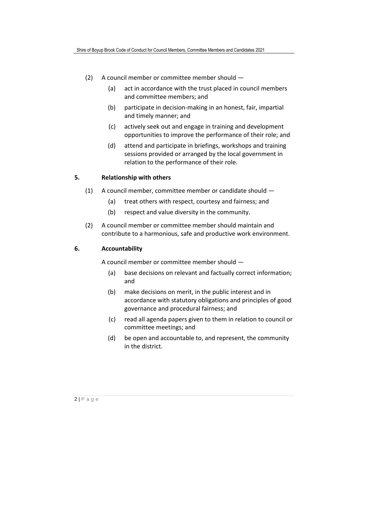- (2) A council member or committee member should
	- (a) act in accordance with the trust placed in council members and committee members; and
	- (b) participate in decision-making in an honest, fair, impartial and timely manner; and
	- (c) actively seek out and engage in training and development opportunities to improve the performance of their role; and
	- (d) attend and participate in briefings, workshops and training sessions provided or arranged by the local government in relation to the performance of their role.

#### **5. Relationship with others**

- (1) A council member, committee member or candidate should
	- (a) treat others with respect, courtesy and fairness; and
	- (b) respect and value diversity in the community.
- (2) A council member or committee member should maintain and contribute to a harmonious, safe and productive work environment.

#### **6. Accountability**

A council member or committee member should —

- (a) base decisions on relevant and factually correct information; and
- (b) make decisions on merit, in the public interest and in accordance with statutory obligations and principles of good governance and procedural fairness; and
- (c) read all agenda papers given to them in relation to council or committee meetings; and
- (d) be open and accountable to, and represent, the community in the district.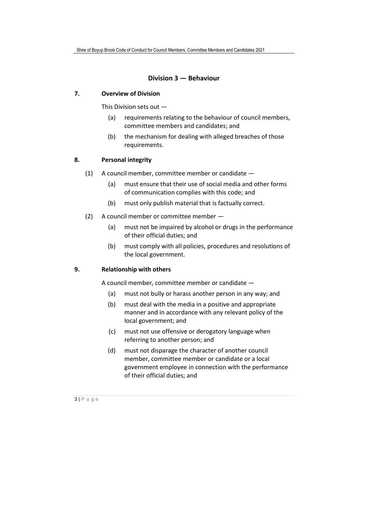#### **Division 3 — Behaviour**

#### **7. Overview of Division**

This Division sets out —

- (a) requirements relating to the behaviour of council members, committee members and candidates; and
- (b) the mechanism for dealing with alleged breaches of those requirements.

#### **8. Personal integrity**

- (1) A council member, committee member or candidate
	- (a) must ensure that their use of social media and other forms of communication complies with this code; and
	- (b) must only publish material that is factually correct.
- (2) A council member or committee member
	- (a) must not be impaired by alcohol or drugs in the performance of their official duties; and
	- (b) must comply with all policies, procedures and resolutions of the local government.

#### **9. Relationship with others**

A council member, committee member or candidate —

- (a) must not bully or harass another person in any way; and
- (b) must deal with the media in a positive and appropriate manner and in accordance with any relevant policy of the local government; and
- (c) must not use offensive or derogatory language when referring to another person; and
- (d) must not disparage the character of another council member, committee member or candidate or a local government employee in connection with the performance of their official duties; and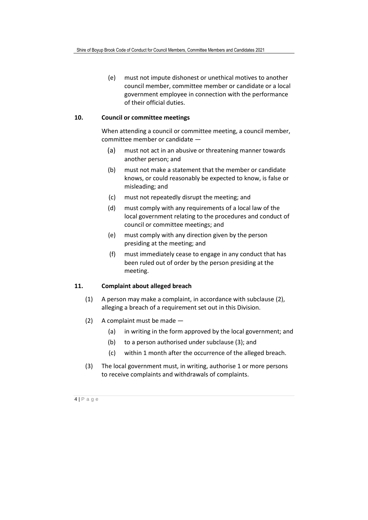(e) must not impute dishonest or unethical motives to another council member, committee member or candidate or a local government employee in connection with the performance of their official duties.

#### **10. Council or committee meetings**

When attending a council or committee meeting, a council member, committee member or candidate —

- (a) must not act in an abusive or threatening manner towards another person; and
- (b) must not make a statement that the member or candidate knows, or could reasonably be expected to know, is false or misleading; and
- (c) must not repeatedly disrupt the meeting; and
- (d) must comply with any requirements of a local law of the local government relating to the procedures and conduct of council or committee meetings; and
- (e) must comply with any direction given by the person presiding at the meeting; and
- (f) must immediately cease to engage in any conduct that has been ruled out of order by the person presiding at the meeting.

#### **11. Complaint about alleged breach**

- (1) A person may make a complaint, in accordance with subclause (2), alleging a breach of a requirement set out in this Division.
- (2) A complaint must be made
	- (a) in writing in the form approved by the local government; and
	- (b) to a person authorised under subclause (3); and
	- (c) within 1 month after the occurrence of the alleged breach.
- (3) The local government must, in writing, authorise 1 or more persons to receive complaints and withdrawals of complaints.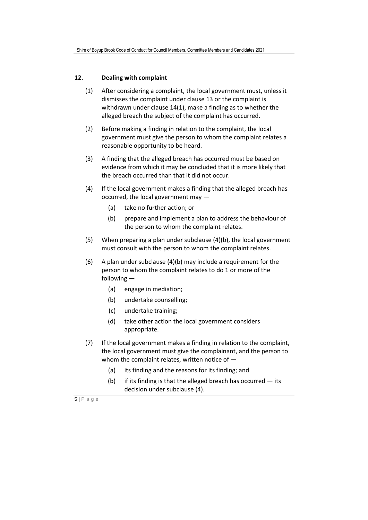#### **12. Dealing with complaint**

- (1) After considering a complaint, the local government must, unless it dismisses the complaint under clause 13 or the complaint is withdrawn under clause 14(1), make a finding as to whether the alleged breach the subject of the complaint has occurred.
- (2) Before making a finding in relation to the complaint, the local government must give the person to whom the complaint relates a reasonable opportunity to be heard.
- (3) A finding that the alleged breach has occurred must be based on evidence from which it may be concluded that it is more likely that the breach occurred than that it did not occur.
- (4) If the local government makes a finding that the alleged breach has occurred, the local government may —
	- (a) take no further action; or
	- (b) prepare and implement a plan to address the behaviour of the person to whom the complaint relates.
- (5) When preparing a plan under subclause (4)(b), the local government must consult with the person to whom the complaint relates.
- (6) A plan under subclause (4)(b) may include a requirement for the person to whom the complaint relates to do 1 or more of the following —
	- (a) engage in mediation;
	- (b) undertake counselling;
	- (c) undertake training;
	- (d) take other action the local government considers appropriate.
- (7) If the local government makes a finding in relation to the complaint, the local government must give the complainant, and the person to whom the complaint relates, written notice of —
	- (a) its finding and the reasons for its finding; and
	- (b) if its finding is that the alleged breach has occurred  $-$  its decision under subclause (4).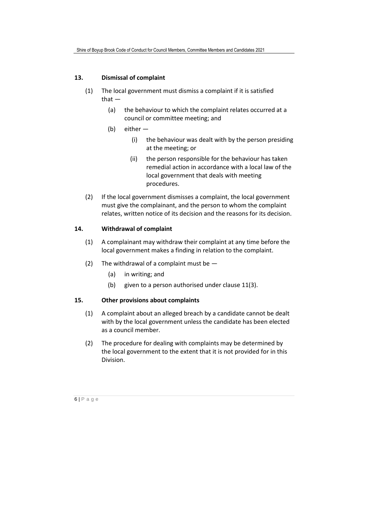#### **13. Dismissal of complaint**

- (1) The local government must dismiss a complaint if it is satisfied that —
	- (a) the behaviour to which the complaint relates occurred at a council or committee meeting; and
	- (b) either
		- (i) the behaviour was dealt with by the person presiding at the meeting; or
		- (ii) the person responsible for the behaviour has taken remedial action in accordance with a local law of the local government that deals with meeting procedures.
- (2) If the local government dismisses a complaint, the local government must give the complainant, and the person to whom the complaint relates, written notice of its decision and the reasons for its decision.

#### **14. Withdrawal of complaint**

- (1) A complainant may withdraw their complaint at any time before the local government makes a finding in relation to the complaint.
- (2) The withdrawal of a complaint must be  $-$ 
	- (a) in writing; and
	- (b) given to a person authorised under clause 11(3).

#### **15. Other provisions about complaints**

- (1) A complaint about an alleged breach by a candidate cannot be dealt with by the local government unless the candidate has been elected as a council member.
- (2) The procedure for dealing with complaints may be determined by the local government to the extent that it is not provided for in this Division.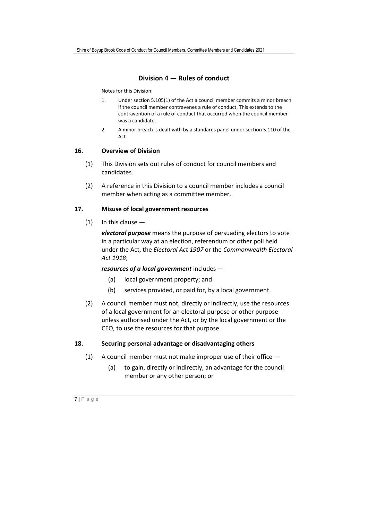#### **Division 4 — Rules of conduct**

Notes for this Division:

- 1. Under section 5.105(1) of the Act a council member commits a minor breach if the council member contravenes a rule of conduct. This extends to the contravention of a rule of conduct that occurred when the council member was a candidate.
- 2. A minor breach is dealt with by a standards panel under section 5.110 of the Act.

#### **16. Overview of Division**

- (1) This Division sets out rules of conduct for council members and candidates.
- (2) A reference in this Division to a council member includes a council member when acting as a committee member.

#### **17. Misuse of local government resources**

(1) In this clause —

*electoral purpose* means the purpose of persuading electors to vote in a particular way at an election, referendum or other poll held under the Act, the *Electoral Act 1907* or the *Commonwealth Electoral Act 1918*;

#### *resources of a local government* includes —

- (a) local government property; and
- (b) services provided, or paid for, by a local government.
- (2) A council member must not, directly or indirectly, use the resources of a local government for an electoral purpose or other purpose unless authorised under the Act, or by the local government or the CEO, to use the resources for that purpose.

#### **18. Securing personal advantage or disadvantaging others**

- (1) A council member must not make improper use of their office
	- (a) to gain, directly or indirectly, an advantage for the council member or any other person; or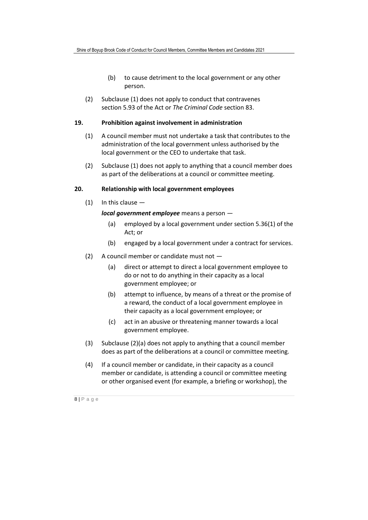- (b) to cause detriment to the local government or any other person.
- (2) Subclause (1) does not apply to conduct that contravenes section 5.93 of the Act or *The Criminal Code* section 83.

#### **19. Prohibition against involvement in administration**

- (1) A council member must not undertake a task that contributes to the administration of the local government unless authorised by the local government or the CEO to undertake that task.
- (2) Subclause (1) does not apply to anything that a council member does as part of the deliberations at a council or committee meeting.

#### **20. Relationship with local government employees**

 $(1)$  In this clause  $-$ 

*local government employee* means a person —

- (a) employed by a local government under section 5.36(1) of the Act; or
- (b) engaged by a local government under a contract for services.
- (2) A council member or candidate must not
	- (a) direct or attempt to direct a local government employee to do or not to do anything in their capacity as a local government employee; or
	- (b) attempt to influence, by means of a threat or the promise of a reward, the conduct of a local government employee in their capacity as a local government employee; or
	- (c) act in an abusive or threatening manner towards a local government employee.
- (3) Subclause (2)(a) does not apply to anything that a council member does as part of the deliberations at a council or committee meeting.
- (4) If a council member or candidate, in their capacity as a council member or candidate, is attending a council or committee meeting or other organised event (for example, a briefing or workshop), the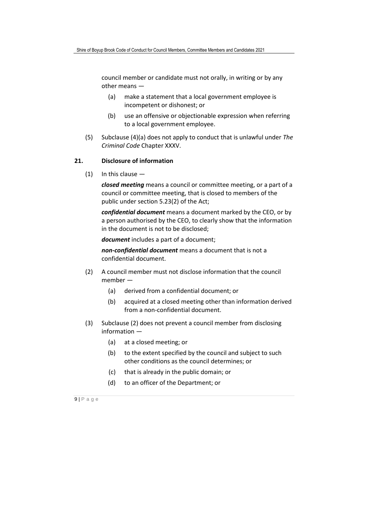council member or candidate must not orally, in writing or by any other means —

- (a) make a statement that a local government employee is incompetent or dishonest; or
- (b) use an offensive or objectionable expression when referring to a local government employee.
- (5) Subclause (4)(a) does not apply to conduct that is unlawful under *The Criminal Code* Chapter XXXV.

#### **21. Disclosure of information**

(1) In this clause —

*closed meeting* means a council or committee meeting, or a part of a council or committee meeting, that is closed to members of the public under section 5.23(2) of the Act;

*confidential document* means a document marked by the CEO, or by a person authorised by the CEO, to clearly show that the information in the document is not to be disclosed;

*document* includes a part of a document;

*non-confidential document* means a document that is not a confidential document.

- (2) A council member must not disclose information that the council member —
	- (a) derived from a confidential document; or
	- (b) acquired at a closed meeting other than information derived from a non-confidential document.
- (3) Subclause (2) does not prevent a council member from disclosing information —
	- (a) at a closed meeting; or
	- (b) to the extent specified by the council and subject to such other conditions as the council determines; or
	- (c) that is already in the public domain; or
	- (d) to an officer of the Department; or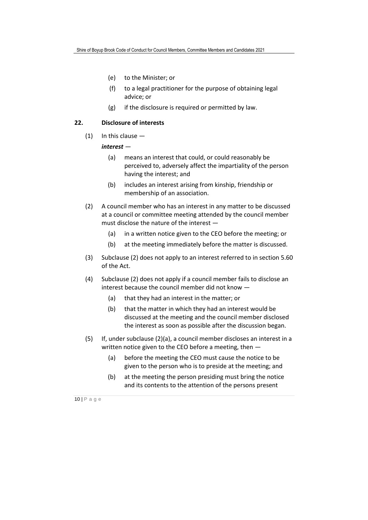- (e) to the Minister; or
- (f) to a legal practitioner for the purpose of obtaining legal advice; or
- (g) if the disclosure is required or permitted by law.

#### **22. Disclosure of interests**

(1) In this clause —

#### *interest* —

- (a) means an interest that could, or could reasonably be perceived to, adversely affect the impartiality of the person having the interest; and
- (b) includes an interest arising from kinship, friendship or membership of an association.
- (2) A council member who has an interest in any matter to be discussed at a council or committee meeting attended by the council member must disclose the nature of the interest —
	- (a) in a written notice given to the CEO before the meeting; or
	- (b) at the meeting immediately before the matter is discussed.
- (3) Subclause (2) does not apply to an interest referred to in section 5.60 of the Act.
- (4) Subclause (2) does not apply if a council member fails to disclose an interest because the council member did not know —
	- (a) that they had an interest in the matter; or
	- (b) that the matter in which they had an interest would be discussed at the meeting and the council member disclosed the interest as soon as possible after the discussion began.
- (5) If, under subclause (2)(a), a council member discloses an interest in a written notice given to the CEO before a meeting, then —
	- (a) before the meeting the CEO must cause the notice to be given to the person who is to preside at the meeting; and
	- (b) at the meeting the person presiding must bring the notice and its contents to the attention of the persons present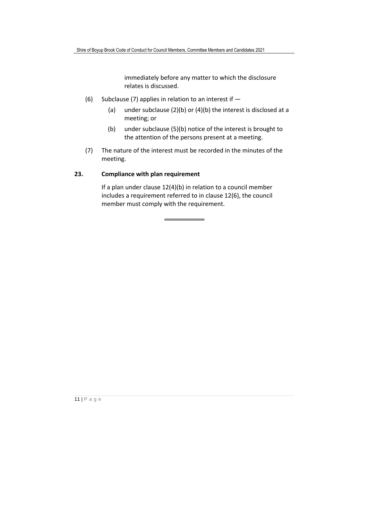immediately before any matter to which the disclosure relates is discussed.

- (6) Subclause (7) applies in relation to an interest if  $-$ 
	- (a) under subclause  $(2)(b)$  or  $(4)(b)$  the interest is disclosed at a meeting; or
	- (b) under subclause (5)(b) notice of the interest is brought to the attention of the persons present at a meeting.
- (7) The nature of the interest must be recorded in the minutes of the meeting.

#### **23. Compliance with plan requirement**

If a plan under clause 12(4)(b) in relation to a council member includes a requirement referred to in clause 12(6), the council member must comply with the requirement.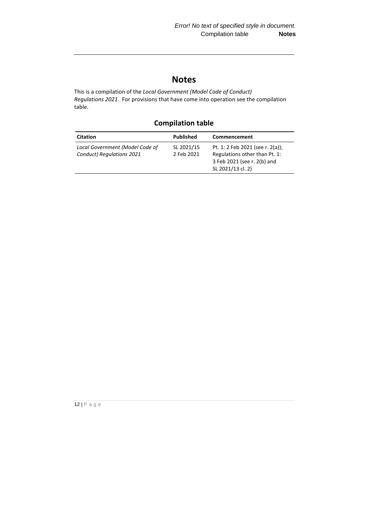# **Notes**

This is a compilation of the *Local Government (Model Code of Conduct) Regulations 2021*. For provisions that have come into operation see the compilation table.

## **Compilation table**

| <b>Citation</b>                                              | Published                | Commencement                                                                                                          |
|--------------------------------------------------------------|--------------------------|-----------------------------------------------------------------------------------------------------------------------|
| Local Government (Model Code of<br>Conduct) Regulations 2021 | SL 2021/15<br>2 Feb 2021 | Pt. 1: 2 Feb 2021 (see r. 2(a));<br>Regulations other than Pt. 1:<br>3 Feb 2021 (see r. 2(b) and<br>SL 2021/13 cl. 2) |